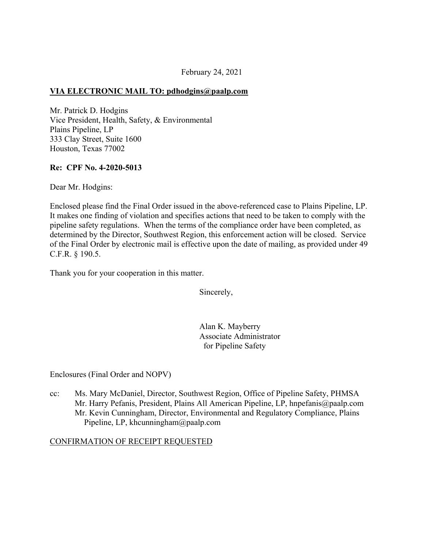### February 24, 2021

# **VIA ELECTRONIC MAIL TO: [pdhodgins@paalp.com](mailto:pdhodgins@paalp.com)**

Mr. Patrick D. Hodgins Vice President, Health, Safety, & Environmental Plains Pipeline, LP 333 Clay Street, Suite 1600 Houston, Texas 77002

### **Re: CPF No. 4-2020-5013**

Dear Mr. Hodgins:

Enclosed please find the Final Order issued in the above-referenced case to Plains Pipeline, LP. It makes one finding of violation and specifies actions that need to be taken to comply with the pipeline safety regulations. When the terms of the compliance order have been completed, as determined by the Director, Southwest Region, this enforcement action will be closed. Service of the Final Order by electronic mail is effective upon the date of mailing, as provided under 49 C.F.R. § 190.5.

Thank you for your cooperation in this matter.

Sincerely,

Alan K. Mayberry Associate Administrator for Pipeline Safety

Enclosures (Final Order and NOPV)

cc: Ms. Mary McDaniel, Director, Southwest Region, Office of Pipeline Safety, PHMSA Mr. Harry Pefanis, President, Plains All American Pipeline, LP, [hnpefanis@paalp.com](mailto:hnpefanis@paalp.com) Mr. Kevin Cunningham, Director, Environmental and Regulatory Compliance, Plains Pipeline, LP, [khcunningham@paalp.com](mailto:khcunningham@paalp.com) 

### CONFIRMATION OF RECEIPT REQUESTED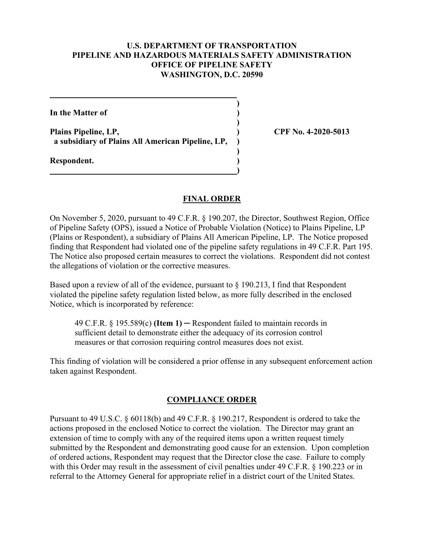### **U.S. DEPARTMENT OF TRANSPORTATION PIPELINE AND HAZARDOUS MATERIALS SAFETY ADMINISTRATION OFFICE OF PIPELINE SAFETY WASHINGTON, D.C. 20590**

**)** 

**)** 

**)** 

**)** 

**In the Matter of )** 

**Plains Pipeline, LP, ) CPF No. 4-2020-5013 a subsidiary of Plains All American Pipeline, LP, )** 

**Respondent. )** 

#### **FINAL ORDER**

On November 5, 2020, pursuant to 49 C.F.R. § 190.207, the Director, Southwest Region, Office of Pipeline Safety (OPS), issued a Notice of Probable Violation (Notice) to Plains Pipeline, LP (Plains or Respondent), a subsidiary of Plains All American Pipeline, LP. The Notice proposed finding that Respondent had violated one of the pipeline safety regulations in 49 C.F.R. Part 195. The Notice also proposed certain measures to correct the violations. Respondent did not contest the allegations of violation or the corrective measures.

Based upon a review of all of the evidence, pursuant to § 190.213, I find that Respondent violated the pipeline safety regulation listed below, as more fully described in the enclosed Notice, which is incorporated by reference:

49 C.F.R. § 195.589(c) **(Item 1)** ─ Respondent failed to maintain records in sufficient detail to demonstrate either the adequacy of its corrosion control measures or that corrosion requiring control measures does not exist.

This finding of violation will be considered a prior offense in any subsequent enforcement action taken against Respondent.

### **COMPLIANCE ORDER**

Pursuant to 49 U.S.C. § 60118(b) and 49 C.F.R. § 190.217, Respondent is ordered to take the actions proposed in the enclosed Notice to correct the violation. The Director may grant an extension of time to comply with any of the required items upon a written request timely submitted by the Respondent and demonstrating good cause for an extension. Upon completion of ordered actions, Respondent may request that the Director close the case. Failure to comply with this Order may result in the assessment of civil penalties under 49 C.F.R. § 190.223 or in referral to the Attorney General for appropriate relief in a district court of the United States.